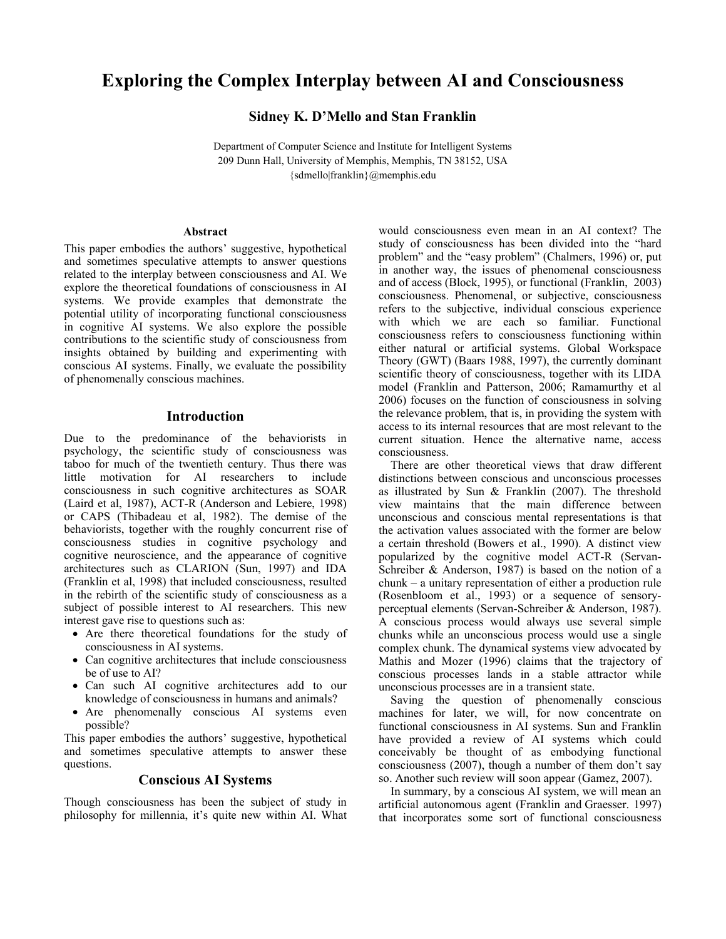# **Exploring the Complex Interplay between AI and Consciousness**

**Sidney K. D'Mello and Stan Franklin** 

Department of Computer Science and Institute for Intelligent Systems 209 Dunn Hall, University of Memphis, Memphis, TN 38152, USA {sdmello|franklin}@memphis.edu

#### **Abstract**

This paper embodies the authors' suggestive, hypothetical and sometimes speculative attempts to answer questions related to the interplay between consciousness and AI. We explore the theoretical foundations of consciousness in AI systems. We provide examples that demonstrate the potential utility of incorporating functional consciousness in cognitive AI systems. We also explore the possible contributions to the scientific study of consciousness from insights obtained by building and experimenting with conscious AI systems. Finally, we evaluate the possibility of phenomenally conscious machines.

### **Introduction**

Due to the predominance of the behaviorists in psychology, the scientific study of consciousness was taboo for much of the twentieth century. Thus there was little motivation for AI researchers to include consciousness in such cognitive architectures as SOAR (Laird et al, 1987), ACT-R (Anderson and Lebiere, 1998) or CAPS (Thibadeau et al, 1982). The demise of the behaviorists, together with the roughly concurrent rise of consciousness studies in cognitive psychology and cognitive neuroscience, and the appearance of cognitive architectures such as CLARION (Sun, 1997) and IDA (Franklin et al, 1998) that included consciousness, resulted in the rebirth of the scientific study of consciousness as a subject of possible interest to AI researchers. This new interest gave rise to questions such as:

- Are there theoretical foundations for the study of consciousness in AI systems.
- Can cognitive architectures that include consciousness be of use to AI?
- Can such AI cognitive architectures add to our knowledge of consciousness in humans and animals?
- Are phenomenally conscious AI systems even possible?

This paper embodies the authors' suggestive, hypothetical and sometimes speculative attempts to answer these questions.

### **Conscious AI Systems**

Though consciousness has been the subject of study in philosophy for millennia, it's quite new within AI. What would consciousness even mean in an AI context? The study of consciousness has been divided into the "hard problem" and the "easy problem" (Chalmers, 1996) or, put in another way, the issues of phenomenal consciousness and of access (Block, 1995), or functional (Franklin, 2003) consciousness. Phenomenal, or subjective, consciousness refers to the subjective, individual conscious experience with which we are each so familiar. Functional consciousness refers to consciousness functioning within either natural or artificial systems. Global Workspace Theory (GWT) (Baars 1988, 1997), the currently dominant scientific theory of consciousness, together with its LIDA model (Franklin and Patterson, 2006; Ramamurthy et al 2006) focuses on the function of consciousness in solving the relevance problem, that is, in providing the system with access to its internal resources that are most relevant to the current situation. Hence the alternative name, access consciousness.

There are other theoretical views that draw different distinctions between conscious and unconscious processes as illustrated by Sun & Franklin (2007). The threshold view maintains that the main difference between unconscious and conscious mental representations is that the activation values associated with the former are below a certain threshold (Bowers et al., 1990). A distinct view popularized by the cognitive model ACT-R (Servan-Schreiber & Anderson, 1987) is based on the notion of a chunk – a unitary representation of either a production rule (Rosenbloom et al., 1993) or a sequence of sensoryperceptual elements (Servan-Schreiber & Anderson, 1987). A conscious process would always use several simple chunks while an unconscious process would use a single complex chunk. The dynamical systems view advocated by Mathis and Mozer (1996) claims that the trajectory of conscious processes lands in a stable attractor while unconscious processes are in a transient state.

Saving the question of phenomenally conscious machines for later, we will, for now concentrate on functional consciousness in AI systems. Sun and Franklin have provided a review of AI systems which could conceivably be thought of as embodying functional consciousness (2007), though a number of them don't say so. Another such review will soon appear (Gamez, 2007).

In summary, by a conscious AI system, we will mean an artificial autonomous agent (Franklin and Graesser. 1997) that incorporates some sort of functional consciousness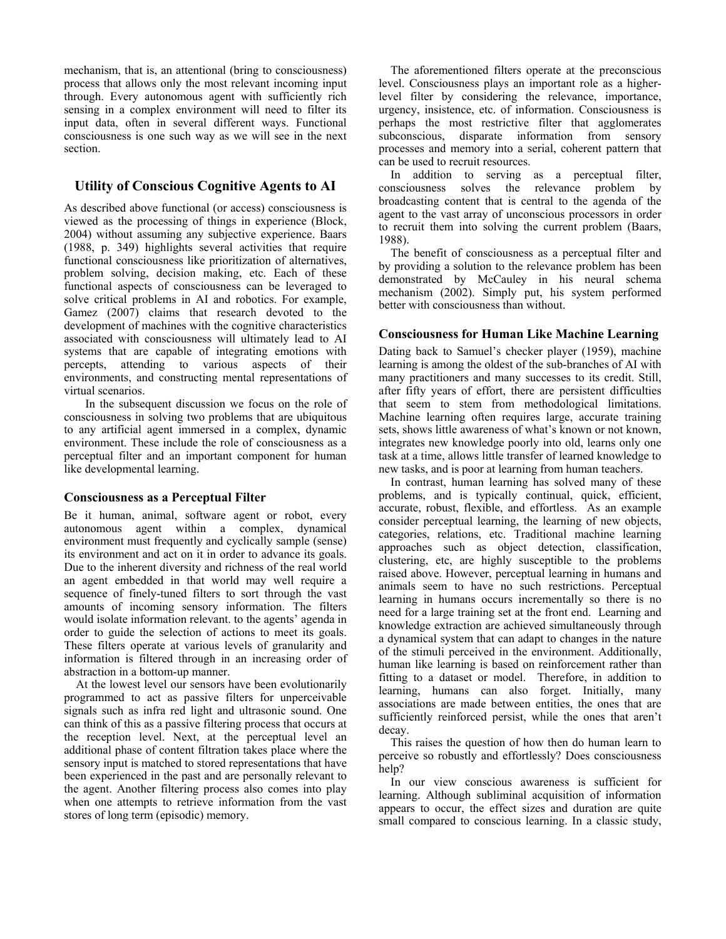mechanism, that is, an attentional (bring to consciousness) process that allows only the most relevant incoming input through. Every autonomous agent with sufficiently rich sensing in a complex environment will need to filter its input data, often in several different ways. Functional consciousness is one such way as we will see in the next section.

# **Utility of Conscious Cognitive Agents to AI**

As described above functional (or access) consciousness is viewed as the processing of things in experience (Block, 2004) without assuming any subjective experience. Baars (1988, p. 349) highlights several activities that require functional consciousness like prioritization of alternatives, problem solving, decision making, etc. Each of these functional aspects of consciousness can be leveraged to solve critical problems in AI and robotics. For example, Gamez (2007) claims that research devoted to the development of machines with the cognitive characteristics associated with consciousness will ultimately lead to AI systems that are capable of integrating emotions with percepts, attending to various aspects of their environments, and constructing mental representations of virtual scenarios.

In the subsequent discussion we focus on the role of consciousness in solving two problems that are ubiquitous to any artificial agent immersed in a complex, dynamic environment. These include the role of consciousness as a perceptual filter and an important component for human like developmental learning.

# **Consciousness as a Perceptual Filter**

Be it human, animal, software agent or robot, every autonomous agent within a complex, dynamical environment must frequently and cyclically sample (sense) its environment and act on it in order to advance its goals. Due to the inherent diversity and richness of the real world an agent embedded in that world may well require a sequence of finely-tuned filters to sort through the vast amounts of incoming sensory information. The filters would isolate information relevant. to the agents' agenda in order to guide the selection of actions to meet its goals. These filters operate at various levels of granularity and information is filtered through in an increasing order of abstraction in a bottom-up manner.

At the lowest level our sensors have been evolutionarily programmed to act as passive filters for unperceivable signals such as infra red light and ultrasonic sound. One can think of this as a passive filtering process that occurs at the reception level. Next, at the perceptual level an additional phase of content filtration takes place where the sensory input is matched to stored representations that have been experienced in the past and are personally relevant to the agent. Another filtering process also comes into play when one attempts to retrieve information from the vast stores of long term (episodic) memory.

The aforementioned filters operate at the preconscious level. Consciousness plays an important role as a higherlevel filter by considering the relevance, importance, urgency, insistence, etc. of information. Consciousness is perhaps the most restrictive filter that agglomerates subconscious, disparate information from sensory processes and memory into a serial, coherent pattern that can be used to recruit resources.

In addition to serving as a perceptual filter, consciousness solves the relevance problem by broadcasting content that is central to the agenda of the agent to the vast array of unconscious processors in order to recruit them into solving the current problem (Baars, 1988).

The benefit of consciousness as a perceptual filter and by providing a solution to the relevance problem has been demonstrated by McCauley in his neural schema mechanism (2002). Simply put, his system performed better with consciousness than without.

# **Consciousness for Human Like Machine Learning**

Dating back to Samuel's checker player (1959), machine learning is among the oldest of the sub-branches of AI with many practitioners and many successes to its credit. Still, after fifty years of effort, there are persistent difficulties that seem to stem from methodological limitations. Machine learning often requires large, accurate training sets, shows little awareness of what's known or not known, integrates new knowledge poorly into old, learns only one task at a time, allows little transfer of learned knowledge to new tasks, and is poor at learning from human teachers.

In contrast, human learning has solved many of these problems, and is typically continual, quick, efficient, accurate, robust, flexible, and effortless. As an example consider perceptual learning, the learning of new objects, categories, relations, etc. Traditional machine learning approaches such as object detection, classification, clustering, etc, are highly susceptible to the problems raised above. However, perceptual learning in humans and animals seem to have no such restrictions. Perceptual learning in humans occurs incrementally so there is no need for a large training set at the front end. Learning and knowledge extraction are achieved simultaneously through a dynamical system that can adapt to changes in the nature of the stimuli perceived in the environment. Additionally, human like learning is based on reinforcement rather than fitting to a dataset or model. Therefore, in addition to learning, humans can also forget. Initially, many associations are made between entities, the ones that are sufficiently reinforced persist, while the ones that aren't decay.

This raises the question of how then do human learn to perceive so robustly and effortlessly? Does consciousness help?

In our view conscious awareness is sufficient for learning. Although subliminal acquisition of information appears to occur, the effect sizes and duration are quite small compared to conscious learning. In a classic study,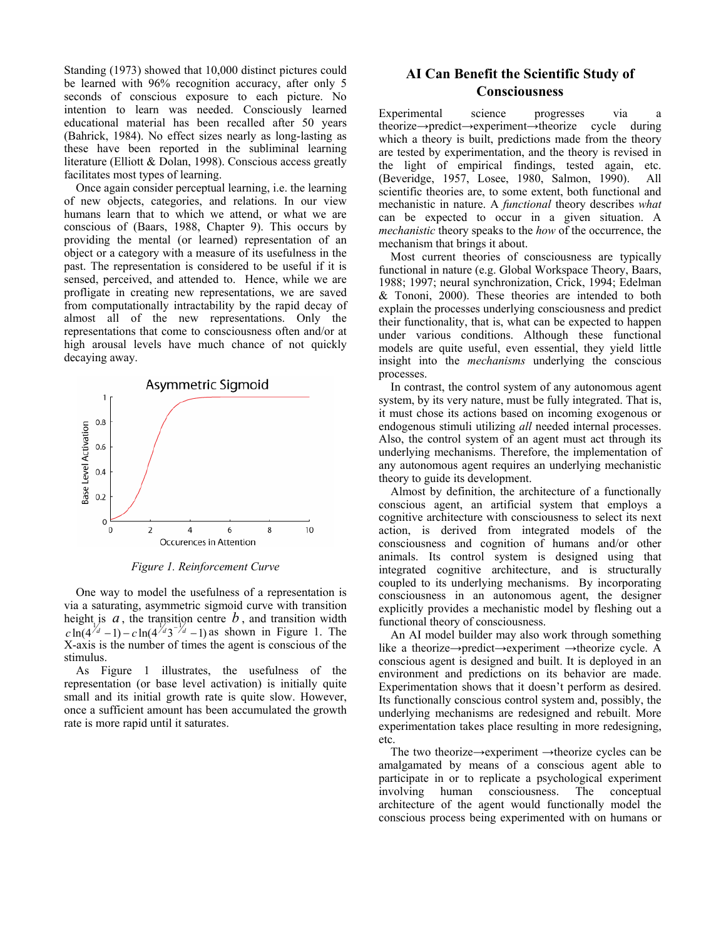Standing (1973) showed that 10,000 distinct pictures could be learned with 96% recognition accuracy, after only 5 seconds of conscious exposure to each picture. No intention to learn was needed. Consciously learned educational material has been recalled after 50 years (Bahrick, 1984). No effect sizes nearly as long-lasting as these have been reported in the subliminal learning literature (Elliott & Dolan, 1998). Conscious access greatly facilitates most types of learning.

Once again consider perceptual learning, i.e. the learning of new objects, categories, and relations. In our view humans learn that to which we attend, or what we are conscious of (Baars, 1988, Chapter 9). This occurs by providing the mental (or learned) representation of an object or a category with a measure of its usefulness in the past. The representation is considered to be useful if it is sensed, perceived, and attended to. Hence, while we are profligate in creating new representations, we are saved from computationally intractability by the rapid decay of almost all of the new representations. Only the representations that come to consciousness often and/or at high arousal levels have much chance of not quickly decaying away.



*Figure 1. Reinforcement Curve* 

One way to model the usefulness of a representation is via a saturating, asymmetric sigmoid curve with transition height is  $a$ , the transition centre  $b$ , and transition width  $c \ln(4^{d} - 1) - c \ln(4^{d} - 1)$  as shown in Figure 1. The X-axis is the number of times the agent is conscious of the stimulus.

As Figure 1 illustrates, the usefulness of the representation (or base level activation) is initially quite small and its initial growth rate is quite slow. However, once a sufficient amount has been accumulated the growth rate is more rapid until it saturates.

# **AI Can Benefit the Scientific Study of Consciousness**

Experimental science progresses via a theorize→predict→experiment→theorize cycle during which a theory is built, predictions made from the theory are tested by experimentation, and the theory is revised in the light of empirical findings, tested again, etc. (Beveridge, 1957, Losee, 1980, Salmon, 1990). All scientific theories are, to some extent, both functional and mechanistic in nature. A *functional* theory describes *what* can be expected to occur in a given situation. A *mechanistic* theory speaks to the *how* of the occurrence, the mechanism that brings it about.

Most current theories of consciousness are typically functional in nature (e.g. Global Workspace Theory, Baars, 1988; 1997; neural synchronization, Crick, 1994; Edelman & Tononi, 2000). These theories are intended to both explain the processes underlying consciousness and predict their functionality, that is, what can be expected to happen under various conditions. Although these functional models are quite useful, even essential, they yield little insight into the *mechanisms* underlying the conscious processes.

In contrast, the control system of any autonomous agent system, by its very nature, must be fully integrated. That is, it must chose its actions based on incoming exogenous or endogenous stimuli utilizing *all* needed internal processes. Also, the control system of an agent must act through its underlying mechanisms. Therefore, the implementation of any autonomous agent requires an underlying mechanistic theory to guide its development.

Almost by definition, the architecture of a functionally conscious agent, an artificial system that employs a cognitive architecture with consciousness to select its next action, is derived from integrated models of the consciousness and cognition of humans and/or other animals. Its control system is designed using that integrated cognitive architecture, and is structurally coupled to its underlying mechanisms. By incorporating consciousness in an autonomous agent, the designer explicitly provides a mechanistic model by fleshing out a functional theory of consciousness.

An AI model builder may also work through something like a theorize→predict→experiment →theorize cycle. A conscious agent is designed and built. It is deployed in an environment and predictions on its behavior are made. Experimentation shows that it doesn't perform as desired. Its functionally conscious control system and, possibly, the underlying mechanisms are redesigned and rebuilt. More experimentation takes place resulting in more redesigning, etc.

The two theorize→experiment →theorize cycles can be amalgamated by means of a conscious agent able to participate in or to replicate a psychological experiment involving human consciousness. The conceptual architecture of the agent would functionally model the conscious process being experimented with on humans or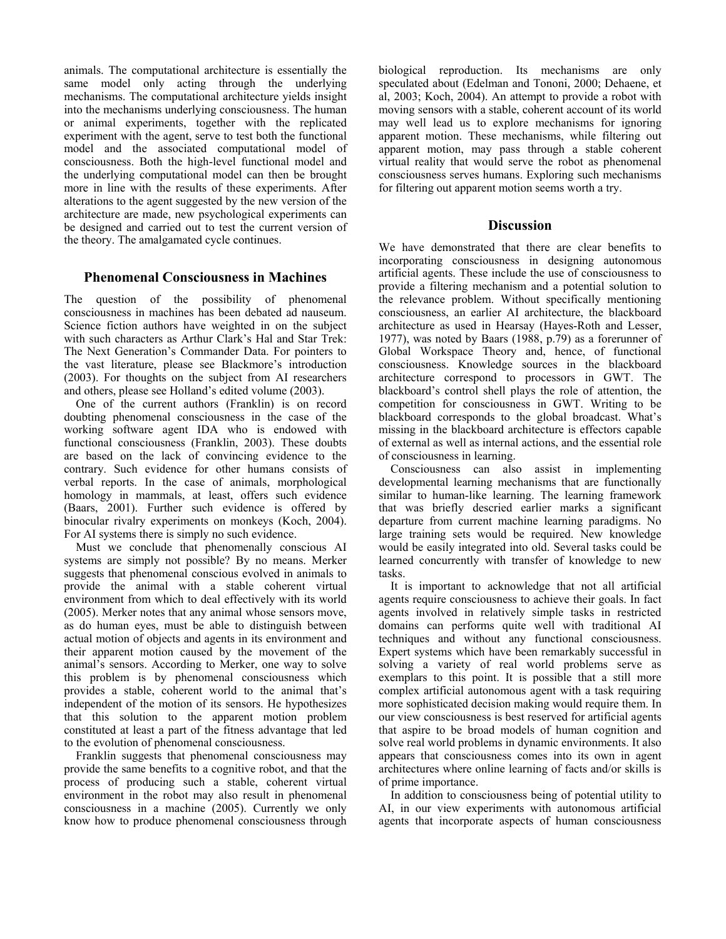animals. The computational architecture is essentially the same model only acting through the underlying mechanisms. The computational architecture yields insight into the mechanisms underlying consciousness. The human or animal experiments, together with the replicated experiment with the agent, serve to test both the functional model and the associated computational model of consciousness. Both the high-level functional model and the underlying computational model can then be brought more in line with the results of these experiments. After alterations to the agent suggested by the new version of the architecture are made, new psychological experiments can be designed and carried out to test the current version of the theory. The amalgamated cycle continues.

# **Phenomenal Consciousness in Machines**

The question of the possibility of phenomenal consciousness in machines has been debated ad nauseum. Science fiction authors have weighted in on the subject with such characters as Arthur Clark's Hal and Star Trek: The Next Generation's Commander Data. For pointers to the vast literature, please see Blackmore's introduction (2003). For thoughts on the subject from AI researchers and others, please see Holland's edited volume (2003).

One of the current authors (Franklin) is on record doubting phenomenal consciousness in the case of the working software agent IDA who is endowed with functional consciousness (Franklin, 2003). These doubts are based on the lack of convincing evidence to the contrary. Such evidence for other humans consists of verbal reports. In the case of animals, morphological homology in mammals, at least, offers such evidence (Baars, 2001). Further such evidence is offered by binocular rivalry experiments on monkeys (Koch, 2004). For AI systems there is simply no such evidence.

Must we conclude that phenomenally conscious AI systems are simply not possible? By no means. Merker suggests that phenomenal conscious evolved in animals to provide the animal with a stable coherent virtual environment from which to deal effectively with its world (2005). Merker notes that any animal whose sensors move, as do human eyes, must be able to distinguish between actual motion of objects and agents in its environment and their apparent motion caused by the movement of the animal's sensors. According to Merker, one way to solve this problem is by phenomenal consciousness which provides a stable, coherent world to the animal that's independent of the motion of its sensors. He hypothesizes that this solution to the apparent motion problem constituted at least a part of the fitness advantage that led to the evolution of phenomenal consciousness.

Franklin suggests that phenomenal consciousness may provide the same benefits to a cognitive robot, and that the process of producing such a stable, coherent virtual environment in the robot may also result in phenomenal consciousness in a machine (2005). Currently we only know how to produce phenomenal consciousness through biological reproduction. Its mechanisms are only speculated about (Edelman and Tononi, 2000; Dehaene, et al, 2003; Koch, 2004). An attempt to provide a robot with moving sensors with a stable, coherent account of its world may well lead us to explore mechanisms for ignoring apparent motion. These mechanisms, while filtering out apparent motion, may pass through a stable coherent virtual reality that would serve the robot as phenomenal consciousness serves humans. Exploring such mechanisms for filtering out apparent motion seems worth a try.

### **Discussion**

We have demonstrated that there are clear benefits to incorporating consciousness in designing autonomous artificial agents. These include the use of consciousness to provide a filtering mechanism and a potential solution to the relevance problem. Without specifically mentioning consciousness, an earlier AI architecture, the blackboard architecture as used in Hearsay (Hayes-Roth and Lesser, 1977), was noted by Baars (1988, p.79) as a forerunner of Global Workspace Theory and, hence, of functional consciousness. Knowledge sources in the blackboard architecture correspond to processors in GWT. The blackboard's control shell plays the role of attention, the competition for consciousness in GWT. Writing to be blackboard corresponds to the global broadcast. What's missing in the blackboard architecture is effectors capable of external as well as internal actions, and the essential role of consciousness in learning.

Consciousness can also assist in implementing developmental learning mechanisms that are functionally similar to human-like learning. The learning framework that was briefly descried earlier marks a significant departure from current machine learning paradigms. No large training sets would be required. New knowledge would be easily integrated into old. Several tasks could be learned concurrently with transfer of knowledge to new tasks.

It is important to acknowledge that not all artificial agents require consciousness to achieve their goals. In fact agents involved in relatively simple tasks in restricted domains can performs quite well with traditional AI techniques and without any functional consciousness. Expert systems which have been remarkably successful in solving a variety of real world problems serve as exemplars to this point. It is possible that a still more complex artificial autonomous agent with a task requiring more sophisticated decision making would require them. In our view consciousness is best reserved for artificial agents that aspire to be broad models of human cognition and solve real world problems in dynamic environments. It also appears that consciousness comes into its own in agent architectures where online learning of facts and/or skills is of prime importance.

In addition to consciousness being of potential utility to AI, in our view experiments with autonomous artificial agents that incorporate aspects of human consciousness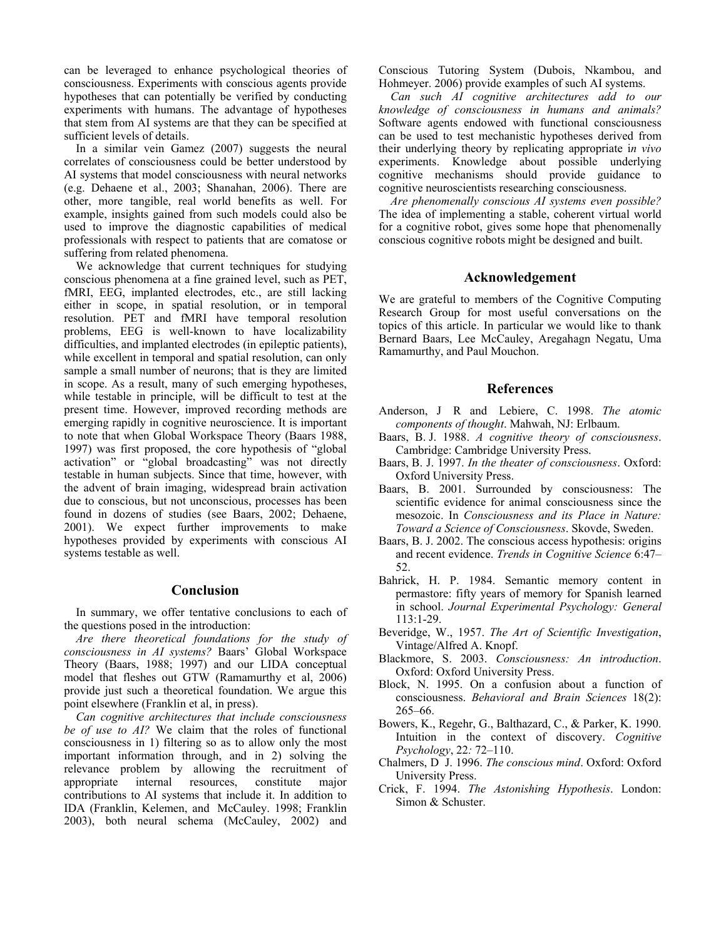can be leveraged to enhance psychological theories of consciousness. Experiments with conscious agents provide hypotheses that can potentially be verified by conducting experiments with humans. The advantage of hypotheses that stem from AI systems are that they can be specified at sufficient levels of details.

In a similar vein Gamez (2007) suggests the neural correlates of consciousness could be better understood by AI systems that model consciousness with neural networks (e.g. Dehaene et al., 2003; Shanahan, 2006). There are other, more tangible, real world benefits as well. For example, insights gained from such models could also be used to improve the diagnostic capabilities of medical professionals with respect to patients that are comatose or suffering from related phenomena.

We acknowledge that current techniques for studying conscious phenomena at a fine grained level, such as PET, fMRI, EEG, implanted electrodes, etc., are still lacking either in scope, in spatial resolution, or in temporal resolution. PET and fMRI have temporal resolution problems, EEG is well-known to have localizability difficulties, and implanted electrodes (in epileptic patients), while excellent in temporal and spatial resolution, can only sample a small number of neurons; that is they are limited in scope. As a result, many of such emerging hypotheses, while testable in principle, will be difficult to test at the present time. However, improved recording methods are emerging rapidly in cognitive neuroscience. It is important to note that when Global Workspace Theory (Baars 1988, 1997) was first proposed, the core hypothesis of "global activation" or "global broadcasting" was not directly testable in human subjects. Since that time, however, with the advent of brain imaging, widespread brain activation due to conscious, but not unconscious, processes has been found in dozens of studies (see Baars, 2002; Dehaene, 2001). We expect further improvements to make hypotheses provided by experiments with conscious AI systems testable as well.

# **Conclusion**

In summary, we offer tentative conclusions to each of the questions posed in the introduction:

*Are there theoretical foundations for the study of consciousness in AI systems?* Baars' Global Workspace Theory (Baars, 1988; 1997) and our LIDA conceptual model that fleshes out GTW (Ramamurthy et al, 2006) provide just such a theoretical foundation. We argue this point elsewhere (Franklin et al, in press).

*Can cognitive architectures that include consciousness be of use to AI?* We claim that the roles of functional consciousness in 1) filtering so as to allow only the most important information through, and in 2) solving the relevance problem by allowing the recruitment of appropriate internal resources, constitute major contributions to AI systems that include it. In addition to IDA (Franklin, Kelemen, and McCauley. 1998; Franklin 2003), both neural schema (McCauley, 2002) and Conscious Tutoring System (Dubois, Nkambou, and Hohmeyer. 2006) provide examples of such AI systems.

*Can such AI cognitive architectures add to our knowledge of consciousness in humans and animals?*  Software agents endowed with functional consciousness can be used to test mechanistic hypotheses derived from their underlying theory by replicating appropriate i*n vivo* experiments. Knowledge about possible underlying cognitive mechanisms should provide guidance to cognitive neuroscientists researching consciousness.

*Are phenomenally conscious AI systems even possible?*  The idea of implementing a stable, coherent virtual world for a cognitive robot, gives some hope that phenomenally conscious cognitive robots might be designed and built.

### **Acknowledgement**

We are grateful to members of the Cognitive Computing Research Group for most useful conversations on the topics of this article. In particular we would like to thank Bernard Baars, Lee McCauley, Aregahagn Negatu, Uma Ramamurthy, and Paul Mouchon.

### **References**

- Anderson, J R and Lebiere, C. 1998. *The atomic components of thought*. Mahwah, NJ: Erlbaum.
- Baars, B. J. 1988. *A cognitive theory of consciousness*. Cambridge: Cambridge University Press.
- Baars, B. J. 1997. *In the theater of consciousness*. Oxford: Oxford University Press.
- Baars, B. 2001. Surrounded by consciousness: The scientific evidence for animal consciousness since the mesozoic. In *Consciousness and its Place in Nature: Toward a Science of Consciousness*. Skovde, Sweden.
- Baars, B. J. 2002. The conscious access hypothesis: origins and recent evidence. *Trends in Cognitive Science* 6:47– 52.
- Bahrick, H. P. 1984. Semantic memory content in permastore: fifty years of memory for Spanish learned in school. *Journal Experimental Psychology: General*  113:1-29.
- Beveridge, W., 1957. *The Art of Scientific Investigation*, Vintage/Alfred A. Knopf.
- Blackmore, S. 2003. *Consciousness: An introduction*. Oxford: Oxford University Press.
- Block, N. 1995. On a confusion about a function of consciousness. *Behavioral and Brain Sciences* 18(2): 265–66.
- Bowers, K., Regehr, G., Balthazard, C., & Parker, K. 1990. Intuition in the context of discovery. *Cognitive Psychology*, 22*:* 72–110.
- Chalmers, D J. 1996. *The conscious mind*. Oxford: Oxford University Press.
- Crick, F. 1994. *The Astonishing Hypothesis*. London: Simon & Schuster.